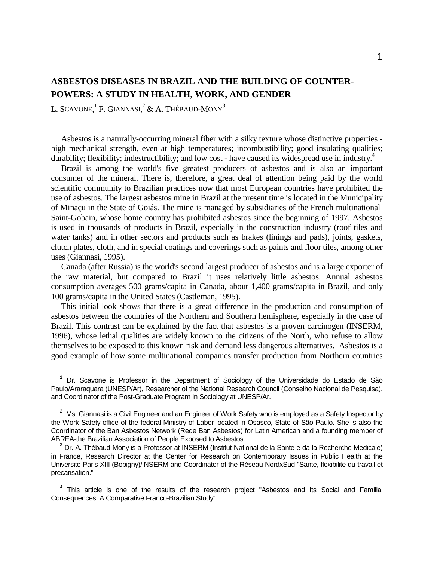# **ASBESTOS DISEASES IN BRAZIL AND THE BUILDING OF COUNTER-POWERS: A STUDY IN HEALTH, WORK, AND GENDER**

L. SCAVONE, $^{1}$  F. GIANNASI, $^{2}$  & A. Thébaud-Mony $^{3}$ 

 $\overline{a}$ 

 Asbestos is a naturally-occurring mineral fiber with a silky texture whose distinctive properties high mechanical strength, even at high temperatures; incombustibility; good insulating qualities; durability; flexibility; indestructibility; and low cost - have caused its widespread use in industry.<sup>4</sup>

 Brazil is among the world's five greatest producers of asbestos and is also an important consumer of the mineral. There is, therefore, a great deal of attention being paid by the world scientific community to Brazilian practices now that most European countries have prohibited the use of asbestos. The largest asbestos mine in Brazil at the present time is located in the Municipality of Minaçu in the State of Goiás. The mine is managed by subsidiaries of the French multinational Saint-Gobain, whose home country has prohibited asbestos since the beginning of 1997. Asbestos is used in thousands of products in Brazil, especially in the construction industry (roof tiles and water tanks) and in other sectors and products such as brakes (linings and pads), joints, gaskets, clutch plates, cloth, and in special coatings and coverings such as paints and floor tiles, among other uses (Giannasi, 1995).

 Canada (after Russia) is the world's second largest producer of asbestos and is a large exporter of the raw material, but compared to Brazil it uses relatively little asbestos. Annual asbestos consumption averages 500 grams/capita in Canada, about 1,400 grams/capita in Brazil, and only 100 grams/capita in the United States (Castleman, 1995).

 This initial look shows that there is a great difference in the production and consumption of asbestos between the countries of the Northern and Southern hemisphere, especially in the case of Brazil. This contrast can be explained by the fact that asbestos is a proven carcinogen (INSERM, 1996), whose lethal qualities are widely known to the citizens of the North, who refuse to allow themselves to be exposed to this known risk and demand less dangerous alternatives. Asbestos is a good example of how some multinational companies transfer production from Northern countries

**<sup>1</sup>** Dr. Scavone is Professor in the Department of Sociology of the Universidade do Estado de São Paulo/Araraquara (UNESP/Ar), Researcher of the National Research Council (Conselho Nacional de Pesquisa), and Coordinator of the Post-Graduate Program in Sociology at UNESP/Ar.

 $2<sup>2</sup>$  Ms. Giannasi is a Civil Engineer and an Engineer of Work Safety who is employed as a Safety Inspector by the Work Safety office of the federal Ministry of Labor located in Osasco, State of São Paulo. She is also the Coordinator of the Ban Asbestos Network (Rede Ban Asbestos) for Latin American and a founding member of ABREA-the Brazilian Association of People Exposed to Asbestos.

<sup>3</sup> Dr. A. Thébaud-Mony is a Professor at INSERM (Institut National de la Sante e da la Recherche Medicale) in France, Research Director at the Center for Research on Contemporary Issues in Public Health at the Universite Paris XIII (Bobigny)/INSERM and Coordinator of the Réseau NordxSud "Sante, flexibilite du travail et precarisation."

<sup>&</sup>lt;sup>4</sup> This article is one of the results of the research project "Asbestos and Its Social and Familial Consequences: A Comparative Franco-Brazilian Study".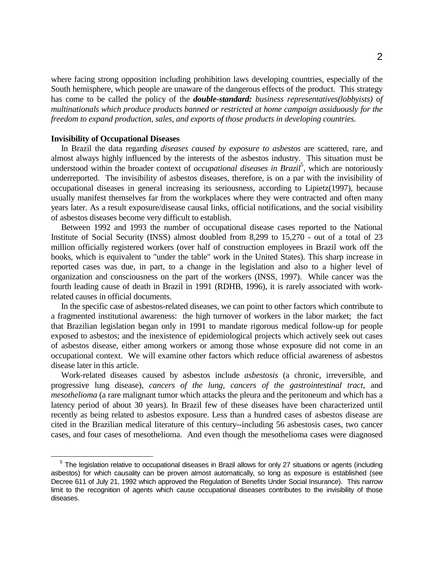where facing strong opposition including prohibition laws developing countries, especially of the South hemisphere, which people are unaware of the dangerous effects of the product. This strategy has come to be called the policy of the *double-standard: business representatives(lobbyists) of multinationals which produce products banned or restricted at home campaign assiduously for the freedom to expand production, sales, and exports of those products in developing countries.*

### **Invisibility of Occupational Diseases**

 $\overline{a}$ 

 In Brazil the data regarding *diseases caused by exposure to asbestos* are scattered, rare, and almost always highly influenced by the interests of the asbestos industry. This situation must be understood within the broader context of *occupational diseases in Brazil*<sup>5</sup>, which are notoriously underreported. The invisibility of asbestos diseases, therefore, is on a par with the invisibility of occupational diseases in general increasing its seriousness, according to Lipietz(1997), because usually manifest themselves far from the workplaces where they were contracted and often many years later. As a result exposure/disease causal links, official notifications, and the social visibility of asbestos diseases become very difficult to establish.

 Between 1992 and 1993 the number of occupational disease cases reported to the National Institute of Social Security (INSS) almost doubled from 8,299 to 15,270 - out of a total of 23 million officially registered workers (over half of construction employees in Brazil work off the books, which is equivalent to "under the table" work in the United States). This sharp increase in reported cases was due, in part, to a change in the legislation and also to a higher level of organization and consciousness on the part of the workers (INSS, 1997). While cancer was the fourth leading cause of death in Brazil in 1991 (RDHB, 1996), it is rarely associated with workrelated causes in official documents.

 In the specific case of asbestos-related diseases, we can point to other factors which contribute to a fragmented institutional awareness: the high turnover of workers in the labor market; the fact that Brazilian legislation began only in 1991 to mandate rigorous medical follow-up for people exposed to asbestos; and the inexistence of epidemiological projects which actively seek out cases of asbestos disease, either among workers or among those whose exposure did not come in an occupational context. We will examine other factors which reduce official awareness of asbestos disease later in this article.

 Work-related diseases caused by asbestos include *asbestosis* (a chronic, irreversible, and progressive lung disease), *cancers of the lung, cancers of the gastrointestinal tract*, and *mesothelioma* (a rare malignant tumor which attacks the pleura and the peritoneum and which has a latency period of about 30 years). In Brazil few of these diseases have been characterized until recently as being related to asbestos exposure. Less than a hundred cases of asbestos disease are cited in the Brazilian medical literature of this century--including 56 asbestosis cases, two cancer cases, and four cases of mesothelioma. And even though the mesothelioma cases were diagnosed

<sup>&</sup>lt;sup>5</sup> The legislation relative to occupational diseases in Brazil allows for only 27 situations or agents (including asbestos) for which causality can be proven almost automatically, so long as exposure is established (see Decree 611 of July 21, 1992 which approved the Regulation of Benefits Under Social Insurance). This narrow limit to the recognition of agents which cause occupational diseases contributes to the invisibility of those diseases.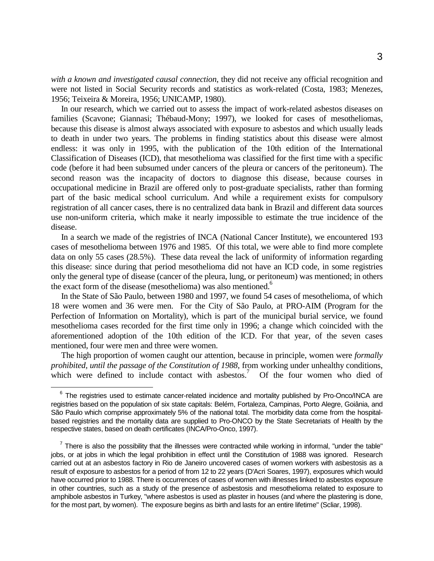*with a known and investigated causal connection*, they did not receive any official recognition and were not listed in Social Security records and statistics as work-related (Costa, 1983; Menezes, 1956; Teixeira & Moreira, 1956; UNICAMP, 1980).

 In our research, which we carried out to assess the impact of work-related asbestos diseases on families (Scavone; Giannasi; Thébaud-Mony; 1997), we looked for cases of mesotheliomas, because this disease is almost always associated with exposure to asbestos and which usually leads to death in under two years. The problems in finding statistics about this disease were almost endless: it was only in 1995, with the publication of the 10th edition of the International Classification of Diseases (ICD), that mesothelioma was classified for the first time with a specific code (before it had been subsumed under cancers of the pleura or cancers of the peritoneum). The second reason was the incapacity of doctors to diagnose this disease, because courses in occupational medicine in Brazil are offered only to post-graduate specialists, rather than forming part of the basic medical school curriculum. And while a requirement exists for compulsory registration of all cancer cases, there is no centralized data bank in Brazil and different data sources use non-uniform criteria, which make it nearly impossible to estimate the true incidence of the disease.

 In a search we made of the registries of INCA (National Cancer Institute), we encountered 193 cases of mesothelioma between 1976 and 1985. Of this total, we were able to find more complete data on only 55 cases (28.5%). These data reveal the lack of uniformity of information regarding this disease: since during that period mesothelioma did not have an ICD code, in some registries only the general type of disease (cancer of the pleura, lung, or peritoneum) was mentioned; in others the exact form of the disease (mesothelioma) was also mentioned.<sup>6</sup>

 In the State of São Paulo, between 1980 and 1997, we found 54 cases of mesothelioma, of which 18 were women and 36 were men. For the City of São Paulo, at PRO-AIM (Program for the Perfection of Information on Mortality), which is part of the municipal burial service, we found mesothelioma cases recorded for the first time only in 1996; a change which coincided with the aforementioned adoption of the 10th edition of the ICD. For that year, of the seven cases mentioned, four were men and three were women.

 The high proportion of women caught our attention, because in principle, women were *formally prohibited, until the passage of the Constitution of 1988*, from working under unhealthy conditions, which were defined to include contact with asbestos.<sup>7</sup> Of the four women who died of

1

<sup>&</sup>lt;sup>6</sup> The registries used to estimate cancer-related incidence and mortality published by Pro-Onco/INCA are registries based on the population of six state capitals: Belém, Fortaleza, Campinas, Porto Alegre, Goiânia, and São Paulo which comprise approximately 5% of the national total. The morbidity data come from the hospitalbased registries and the mortality data are supplied to Pro-ONCO by the State Secretariats of Health by the respective states, based on death certificates (INCA/Pro-Onco, 1997).

 $<sup>7</sup>$  There is also the possibility that the illnesses were contracted while working in informal, "under the table"</sup> jobs, or at jobs in which the legal prohibition in effect until the Constitution of 1988 was ignored. Research carried out at an asbestos factory in Rio de Janeiro uncovered cases of women workers with asbestosis as a result of exposure to asbestos for a period of from 12 to 22 years (D'Acri Soares, 1997), exposures which would have occurred prior to 1988. There is occurrences of cases of women with illnesses linked to asbestos exposure in other countries, such as a study of the presence of asbestosis and mesothelioma related to exposure to amphibole asbestos in Turkey, "where asbestos is used as plaster in houses (and where the plastering is done, for the most part, by women). The exposure begins as birth and lasts for an entire lifetime" (Scliar, 1998).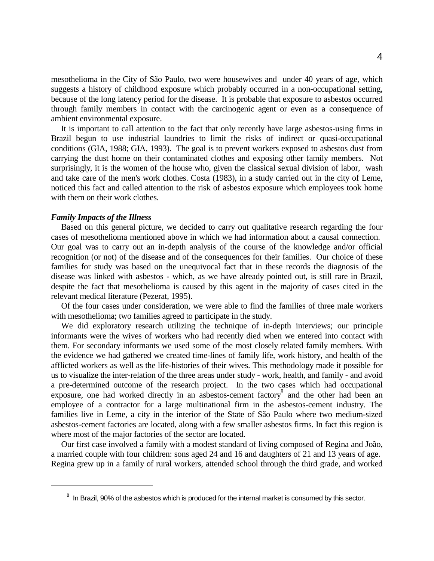mesothelioma in the City of São Paulo, two were housewives and under 40 years of age, which suggests a history of childhood exposure which probably occurred in a non-occupational setting, because of the long latency period for the disease. It is probable that exposure to asbestos occurred through family members in contact with the carcinogenic agent or even as a consequence of ambient environmental exposure.

 It is important to call attention to the fact that only recently have large asbestos-using firms in Brazil begun to use industrial laundries to limit the risks of indirect or quasi-occupational conditions (GIA, 1988; GIA, 1993). The goal is to prevent workers exposed to asbestos dust from carrying the dust home on their contaminated clothes and exposing other family members. Not surprisingly, it is the women of the house who, given the classical sexual division of labor, wash and take care of the men's work clothes. Costa (1983), in a study carried out in the city of Leme, noticed this fact and called attention to the risk of asbestos exposure which employees took home with them on their work clothes.

### *Family Impacts of the Illness*

 $\overline{a}$ 

 Based on this general picture, we decided to carry out qualitative research regarding the four cases of mesothelioma mentioned above in which we had information about a causal connection. Our goal was to carry out an in-depth analysis of the course of the knowledge and/or official recognition (or not) of the disease and of the consequences for their families. Our choice of these families for study was based on the unequivocal fact that in these records the diagnosis of the disease was linked with asbestos - which, as we have already pointed out, is still rare in Brazil, despite the fact that mesothelioma is caused by this agent in the majority of cases cited in the relevant medical literature (Pezerat, 1995).

 Of the four cases under consideration, we were able to find the families of three male workers with mesothelioma; two families agreed to participate in the study.

 We did exploratory research utilizing the technique of in-depth interviews; our principle informants were the wives of workers who had recently died when we entered into contact with them. For secondary informants we used some of the most closely related family members. With the evidence we had gathered we created time-lines of family life, work history, and health of the afflicted workers as well as the life-histories of their wives. This methodology made it possible for us to visualize the inter-relation of the three areas under study - work, health, and family - and avoid a pre-determined outcome of the research project. In the two cases which had occupational exposure, one had worked directly in an asbestos-cement factory<sup>8</sup> and the other had been an employee of a contractor for a large multinational firm in the asbestos-cement industry. The families live in Leme, a city in the interior of the State of São Paulo where two medium-sized asbestos-cement factories are located, along with a few smaller asbestos firms. In fact this region is where most of the major factories of the sector are located.

 Our first case involved a family with a modest standard of living composed of Regina and João, a married couple with four children: sons aged 24 and 16 and daughters of 21 and 13 years of age. Regina grew up in a family of rural workers, attended school through the third grade, and worked

<sup>&</sup>lt;sup>8</sup> In Brazil, 90% of the asbestos which is produced for the internal market is consumed by this sector.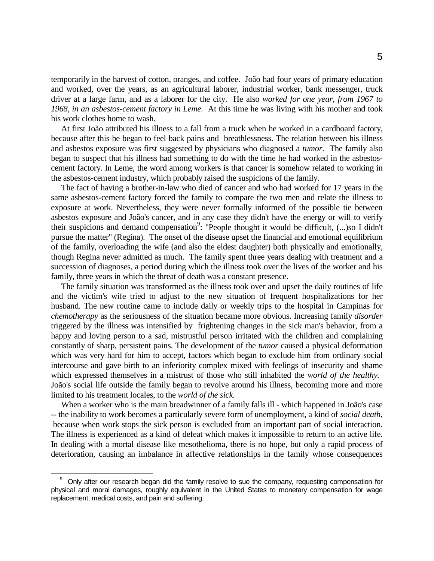temporarily in the harvest of cotton, oranges, and coffee. João had four years of primary education and worked, over the years, as an agricultural laborer, industrial worker, bank messenger, truck driver at a large farm, and as a laborer for the city. He also *worked for one year, from 1967 to 1968, in an asbestos-cement factory in Leme.* At this time he was living with his mother and took his work clothes home to wash.

 At first João attributed his illness to a fall from a truck when he worked in a cardboard factory, because after this he began to feel back pains and breathlessness. The relation between his illness and asbestos exposure was first suggested by physicians who diagnosed a *tumor.* The family also began to suspect that his illness had something to do with the time he had worked in the asbestoscement factory. In Leme, the word among workers is that cancer is somehow related to working in the asbestos-cement industry, which probably raised the suspicions of the family.

 The fact of having a brother-in-law who died of cancer and who had worked for 17 years in the same asbestos-cement factory forced the family to compare the two men and relate the illness to exposure at work. Nevertheless, they were never formally informed of the possible tie between asbestos exposure and João's cancer, and in any case they didn't have the energy or will to verify their suspicions and demand compensation<sup>9</sup>: "People thought it would be difficult, (...)so I didn't pursue the matter" (Regina). The onset of the disease upset the financial and emotional equilibrium of the family, overloading the wife (and also the eldest daughter) both physically and emotionally, though Regina never admitted as much. The family spent three years dealing with treatment and a succession of diagnoses, a period during which the illness took over the lives of the worker and his family, three years in which the threat of death was a constant presence.

 The family situation was transformed as the illness took over and upset the daily routines of life and the victim's wife tried to adjust to the new situation of frequent hospitalizations for her husband. The new routine came to include daily or weekly trips to the hospital in Campinas for *chemotherapy* as the seriousness of the situation became more obvious. Increasing family *disorder* triggered by the illness was intensified by frightening changes in the sick man's behavior, from a happy and loving person to a sad, mistrustful person irritated with the children and complaining constantly of sharp, persistent pains. The development of the *tumor* caused a physical deformation which was very hard for him to accept, factors which began to exclude him from ordinary social intercourse and gave birth to an inferiority complex mixed with feelings of insecurity and shame which expressed themselves in a mistrust of those who still inhabited the *world of the healthy.* João's social life outside the family began to revolve around his illness, becoming more and more limited to his treatment locales, to the *world of the sick.*

 When a worker who is the main breadwinner of a family falls ill - which happened in João's case -- the inability to work becomes a particularly severe form of unemployment, a kind of *social death*, because when work stops the sick person is excluded from an important part of social interaction. The illness is experienced as a kind of defeat which makes it impossible to return to an active life. In dealing with a mortal disease like mesothelioma, there is no hope, but only a rapid process of deterioration, causing an imbalance in affective relationships in the family whose consequences

 $\overline{a}$ 

<sup>9</sup> Only after our research began did the family resolve to sue the company, requesting compensation for physical and moral damages, roughly equivalent in the United States to monetary compensation for wage replacement, medical costs, and pain and suffering.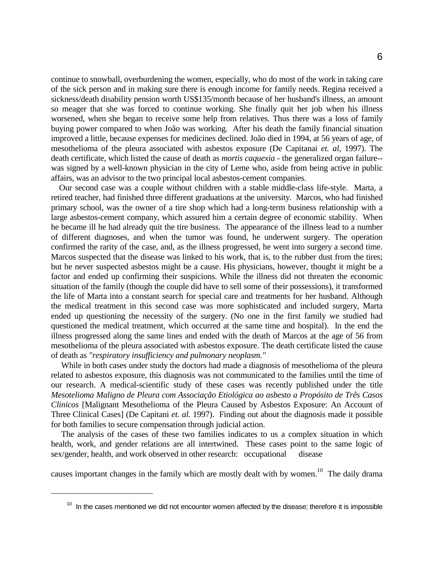continue to snowball, overburdening the women, especially, who do most of the work in taking care of the sick person and in making sure there is enough income for family needs. Regina received a sickness/death disability pension worth US\$135/month because of her husband's illness, an amount so meager that she was forced to continue working. She finally quit her job when his illness worsened, when she began to receive some help from relatives. Thus there was a loss of family buying power compared to when João was working. After his death the family financial situation improved a little, because expenses for medicines declined. João died in 1994, at 56 years of age, of mesothelioma of the pleura associated with asbestos exposure (De Capitanai *et. al,* 1997). The death certificate, which listed the cause of death as *mortis caquexia* - the generalized organ failure- was signed by a well-known physician in the city of Leme who, aside from being active in public affairs, was an advisor to the two principal local asbestos-cement companies.

 Our second case was a couple without children with a stable middle-class life-style. Marta, a retired teacher, had finished three different graduations at the university. Marcos, who had finished primary school, was the owner of a tire shop which had a long-term business relationship with a large asbestos-cement company, which assured him a certain degree of economic stability. When he became ill he had already quit the tire business. The appearance of the illness lead to a number of different diagnoses, and when the tumor was found, he underwent surgery. The operation confirmed the rarity of the case, and, as the illness progressed, he went into surgery a second time. Marcos suspected that the disease was linked to his work, that is, to the rubber dust from the tires; but he never suspected asbestos might be a cause. His physicians, however, thought it might be a factor and ended up confirming their suspicions. While the illness did not threaten the economic situation of the family (though the couple did have to sell some of their possessions), it transformed the life of Marta into a constant search for special care and treatments for her husband. Although the medical treatment in this second case was more sophisticated and included surgery, Marta ended up questioning the necessity of the surgery. (No one in the first family we studied had questioned the medical treatment, which occurred at the same time and hospital). In the end the illness progressed along the same lines and ended with the death of Marcos at the age of 56 from mesothelioma of the pleura associated with asbestos exposure. The death certificate listed the cause of death as *"respiratory insufficiency and pulmonary neoplasm."*

 While in both cases under study the doctors had made a diagnosis of mesothelioma of the pleura related to asbestos exposure, this diagnosis was not communicated to the families until the time of our research. A medical-scientific study of these cases was recently published under the title *Mesotelioma Maligno de Pleura com Associação Etiológica ao asbesto a Propósito de Três Casos Clinicos* [Malignant Mesothelioma of the Pleura Caused by Asbestos Exposure: An Account of Three Clinical Cases] (De Capitani *et. al.* 1997). Finding out about the diagnosis made it possible for both families to secure compensation through judicial action.

 The analysis of the cases of these two families indicates to us a complex situation in which health, work, and gender relations are all intertwined. These cases point to the same logic of sex/gender, health, and work observed in other research: occupational disease

causes important changes in the family which are mostly dealt with by women.<sup>10</sup> The daily drama

 $\overline{a}$ 

<sup>&</sup>lt;sup>10</sup> In the cases mentioned we did not encounter women affected by the disease; therefore it is impossible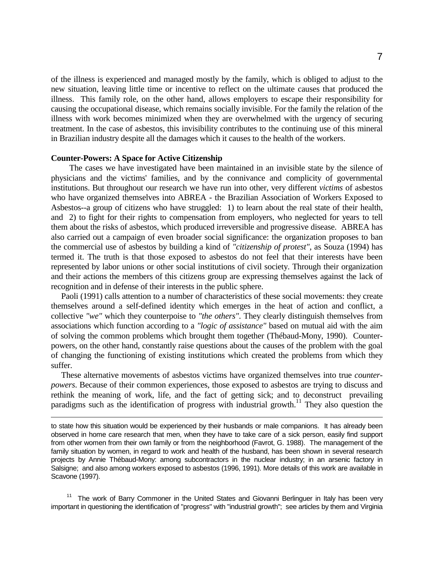of the illness is experienced and managed mostly by the family, which is obliged to adjust to the new situation, leaving little time or incentive to reflect on the ultimate causes that produced the illness. This family role, on the other hand, allows employers to escape their responsibility for causing the occupational disease, which remains socially invisible. For the family the relation of the illness with work becomes minimized when they are overwhelmed with the urgency of securing treatment. In the case of asbestos, this invisibility contributes to the continuing use of this mineral in Brazilian industry despite all the damages which it causes to the health of the workers.

#### **Counter-Powers: A Space for Active Citizenship**

l

 The cases we have investigated have been maintained in an invisible state by the silence of physicians and the victims' families, and by the connivance and complicity of governmental institutions. But throughout our research we have run into other, very different *victims* of asbestos who have organized themselves into ABREA - the Brazilian Association of Workers Exposed to Asbestos--a group of citizens who have struggled: 1) to learn about the real state of their health, and 2) to fight for their rights to compensation from employers, who neglected for years to tell them about the risks of asbestos, which produced irreversible and progressive disease. ABREA has also carried out a campaign of even broader social significance: the organization proposes to ban the commercial use of asbestos by building a kind of *"citizenship of protest"*, as Souza (1994) has termed it. The truth is that those exposed to asbestos do not feel that their interests have been represented by labor unions or other social institutions of civil society. Through their organization and their actions the members of this citizens group are expressing themselves against the lack of recognition and in defense of their interests in the public sphere.

 Paoli (1991) calls attention to a number of characteristics of these social movements: they create themselves around a self-defined identity which emerges in the heat of action and conflict, a collective *"we"* which they counterpoise to *"the others"*. They clearly distinguish themselves from associations which function according to a *"logic of assistance"* based on mutual aid with the aim of solving the common problems which brought them together (Thébaud-Mony, 1990). Counterpowers, on the other hand, constantly raise questions about the causes of the problem with the goal of changing the functioning of existing institutions which created the problems from which they suffer.

 These alternative movements of asbestos victims have organized themselves into true *counterpowers*. Because of their common experiences, those exposed to asbestos are trying to discuss and rethink the meaning of work, life, and the fact of getting sick; and to deconstruct prevailing paradigms such as the identification of progress with industrial growth.<sup>11</sup> They also question the

to state how this situation would be experienced by their husbands or male companions. It has already been observed in home care research that men, when they have to take care of a sick person, easily find support from other women from their own family or from the neighborhood (Favrot, G. 1988). The management of the family situation by women, in regard to work and health of the husband, has been shown in several research projects by Annie Thébaud-Mony: among subcontractors in the nuclear industry; in an arsenic factory in Salsigne; and also among workers exposed to asbestos (1996, 1991). More details of this work are available in Scavone (1997).

<sup>11</sup> The work of Barry Commoner in the United States and Giovanni Berlinguer in Italy has been very important in questioning the identification of "progress" with "industrial growth"; see articles by them and Virginia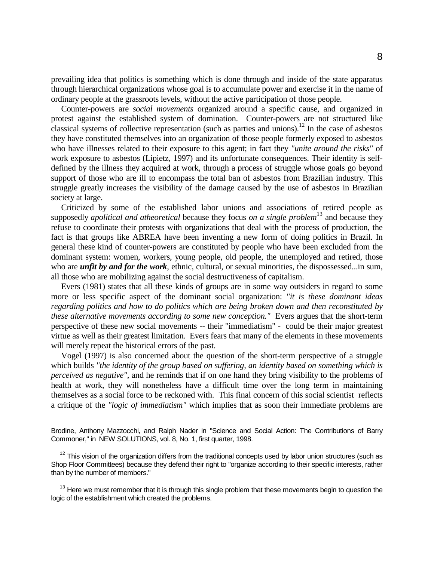prevailing idea that politics is something which is done through and inside of the state apparatus through hierarchical organizations whose goal is to accumulate power and exercise it in the name of ordinary people at the grassroots levels, without the active participation of those people.

 Counter-powers are *social movements* organized around a specific cause, and organized in protest against the established system of domination. Counter-powers are not structured like classical systems of collective representation (such as parties and unions).<sup>12</sup> In the case of asbestos they have constituted themselves into an organization of those people formerly exposed to asbestos who have illnesses related to their exposure to this agent; in fact they *"unite around the risks"* of work exposure to asbestos (Lipietz, 1997) and its unfortunate consequences. Their identity is selfdefined by the illness they acquired at work, through a process of struggle whose goals go beyond support of those who are ill to encompass the total ban of asbestos from Brazilian industry. This struggle greatly increases the visibility of the damage caused by the use of asbestos in Brazilian society at large.

 Criticized by some of the established labor unions and associations of retired people as supposedly *apolitical and atheoretical* because they focus *on a single problem*13 and because they refuse to coordinate their protests with organizations that deal with the process of production, the fact is that groups like ABREA have been inventing a new form of doing politics in Brazil. In general these kind of counter-powers are constituted by people who have been excluded from the dominant system: women, workers, young people, old people, the unemployed and retired, those who are *unfit by and for the work*, ethnic, cultural, or sexual minorities, the dispossessed...in sum, all those who are mobilizing against the social destructiveness of capitalism.

 Evers (1981) states that all these kinds of groups are in some way outsiders in regard to some more or less specific aspect of the dominant social organization: *"it is these dominant ideas regarding politics and how to do politics which are being broken down and then reconstituted by these alternative movements according to some new conception."* Evers argues that the short-term perspective of these new social movements -- their "immediatism" - could be their major greatest virtue as well as their greatest limitation. Evers fears that many of the elements in these movements will merely repeat the historical errors of the past.

 Vogel (1997) is also concerned about the question of the short-term perspective of a struggle which builds *"the identity of the group based on suffering, an identity based on something which is perceived as negative",* and he reminds that if on one hand they bring visibility to the problems of health at work, they will nonetheless have a difficult time over the long term in maintaining themselves as a social force to be reckoned with. This final concern of this social scientist reflects a critique of the *"logic of immediatism"* which implies that as soon their immediate problems are

Brodine, Anthony Mazzocchi, and Ralph Nader in "Science and Social Action: The Contributions of Barry Commoner," in NEW SOLUTIONS, vol. 8, No. 1, first quarter, 1998.

 $\overline{a}$ 

 $12$  This vision of the organization differs from the traditional concepts used by labor union structures (such as Shop Floor Committees) because they defend their right to "organize according to their specific interests, rather than by the number of members."

 $13$  Here we must remember that it is through this single problem that these movements begin to question the logic of the establishment which created the problems.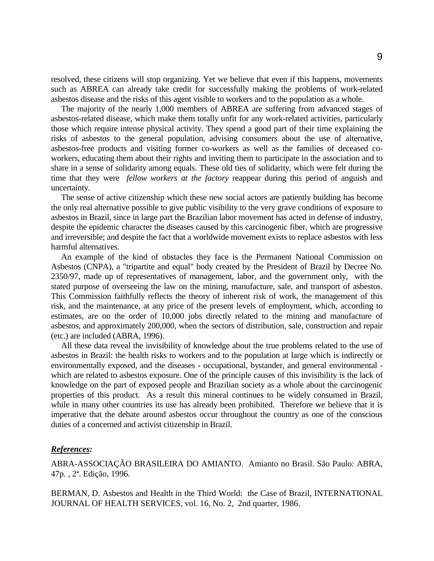resolved, these citizens will stop organizing. Yet we believe that even if this happens, movements such as ABREA can already take credit for successfully making the problems of work-related asbestos disease and the risks of this agent visible to workers and to the population as a whole.

 The majority of the nearly 1,000 members of ABREA are suffering from advanced stages of asbestos-related disease, which make them totally unfit for any work-related activities, particularly those which require intense physical activity. They spend a good part of their time explaining the risks of asbestos to the general population, advising consumers about the use of alternative, asbestos-free products and visiting former co-workers as well as the families of deceased coworkers, educating them about their rights and inviting them to participate in the association and to share in a sense of solidarity among equals. These old ties of solidarity, which were felt during the time that they were *fellow workers at the factory* reappear during this period of anguish and uncertainty.

 The sense of active citizenship which these new social actors are patiently building has become the only real alternative possible to give public visibility to the very grave conditions of exposure to asbestos in Brazil, since in large part the Brazilian labor movement has acted in defense of industry, despite the epidemic character the diseases caused by this carcinogenic fiber, which are progressive and irreversible; and despite the fact that a worldwide movement exists to replace asbestos with less harmful alternatives.

 An example of the kind of obstacles they face is the Permanent National Commission on Asbestos (CNPA), a "tripartite and equal" body created by the President of Brazil by Decree No. 2350/97, made up of representatives of management, labor, and the government only, with the stated purpose of overseeing the law on the mining, manufacture, sale, and transport of asbestos. This Commission faithfully reflects the theory of inherent risk of work, the management of this risk, and the maintenance, at any price of the present levels of employment, which, according to estimates, are on the order of 10,000 jobs directly related to the mining and manufacture of asbestos, and approximately 200,000, when the sectors of distribution, sale, construction and repair (etc.) are included (ABRA, 1996).

 All these data reveal the invisibility of knowledge about the true problems related to the use of asbestos in Brazil: the health risks to workers and to the population at large which is indirectly or environmentally exposed, and the diseases - occupational, bystander, and general environmental which are related to asbestos exposure. One of the principle causes of this invisibility is the lack of knowledge on the part of exposed people and Brazilian society as a whole about the carcinogenic properties of this product. As a result this mineral continues to be widely consumed in Brazil, while in many other countries its use has already been prohibited. Therefore we believe that it is imperative that the debate around asbestos occur throughout the country as one of the conscious duties of a concerned and activist citizenship in Brazil.

## *References:*

ABRA-ASSOCIAÇÃO BRASILEIRA DO AMIANTO. Amianto no Brasil. São Paulo: ABRA, 47p. , 2ª. Edição, 1996.

BERMAN, D. Asbestos and Health in the Third World: the Case of Brazil, INTERNATIONAL JOURNAL OF HEALTH SERVICES, vol. 16, No. 2, 2nd quarter, 1986.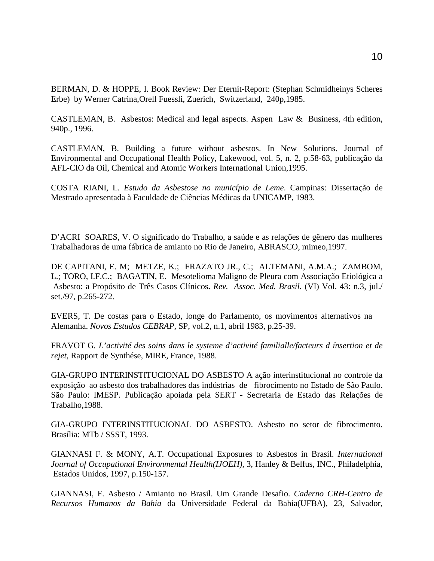BERMAN, D. & HOPPE, I. Book Review: Der Eternit-Report: (Stephan Schmidheinys Scheres Erbe) by Werner Catrina,Orell Fuessli, Zuerich, Switzerland, 240p,1985.

CASTLEMAN, B. Asbestos: Medical and legal aspects. Aspen Law & Business, 4th edition, 940p., 1996.

CASTLEMAN, B. Building a future without asbestos. In New Solutions. Journal of Environmental and Occupational Health Policy, Lakewood, vol. 5, n. 2, p.58-63, publicação da AFL-CIO da Oil, Chemical and Atomic Workers International Union,1995.

COSTA RIANI, L. *Estudo da Asbestose no município de Leme*. Campinas: Dissertação de Mestrado apresentada à Faculdade de Ciências Médicas da UNICAMP, 1983.

D'ACRI SOARES, V. O significado do Trabalho, a saúde e as relações de gênero das mulheres Trabalhadoras de uma fábrica de amianto no Rio de Janeiro, ABRASCO, mimeo,1997.

DE CAPITANI, E. M; METZE, K.; FRAZATO JR., C.; ALTEMANI, A.M.A.; ZAMBOM, L.; TORO, I.F.C.; BAGATIN, E. Mesotelioma Maligno de Pleura com Associação Etiológica a Asbesto: a Propósito de Três Casos Clínicos**.** *Rev. Assoc. Med. Brasil.* (VI) Vol. 43: n.3, jul./ set./97, p.265-272.

EVERS, T. De costas para o Estado, longe do Parlamento, os movimentos alternativos na Alemanha. *Novos Estudos CEBRAP*, SP, vol.2, n.1, abril 1983, p.25-39.

FRAVOT G*. L'activité des soins dans le systeme d'activité familialle/facteurs d ínsertion et de rejet*, Rapport de Synthése, MIRE, France, 1988.

GIA-GRUPO INTERINSTITUCIONAL DO ASBESTO A ação interinstitucional no controle da exposição ao asbesto dos trabalhadores das indústrias de fibrocimento no Estado de São Paulo. São Paulo: IMESP. Publicação apoiada pela SERT - Secretaria de Estado das Relações de Trabalho,1988.

GIA-GRUPO INTERINSTITUCIONAL DO ASBESTO. Asbesto no setor de fibrocimento. Brasília: MTb / SSST, 1993.

GIANNASI F. & MONY, A.T. Occupational Exposures to Asbestos in Brasil. *International Journal of Occupational Environmental Health(IJOEH)*, 3, Hanley & Belfus, INC., Philadelphia, Estados Unidos, 1997, p.150-157.

GIANNASI, F. Asbesto / Amianto no Brasil. Um Grande Desafio. *Caderno CRH-Centro de Recursos Humanos da Bahia* da Universidade Federal da Bahia(UFBA), 23, Salvador,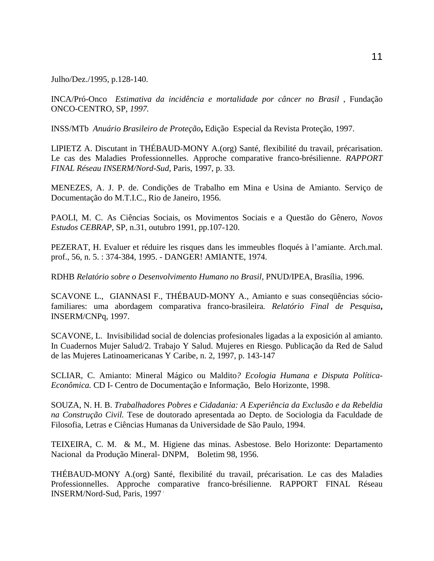Julho/Dez./1995, p.128-140.

INCA/Pró-Onco *Estimativa da incidência e mortalidade por câncer no Brasil* , Fundação ONCO-CENTRO, SP, *1997.*

INSS/MTb *Anuário Brasileiro de Proteção***,** Edição Especial da Revista Proteção, 1997.

LIPIETZ A. Discutant in THÉBAUD-MONY A.(org) Santé, flexibilité du travail, précarisation. Le cas des Maladies Professionnelles. Approche comparative franco-brésilienne. *RAPPORT FINAL Réseau INSERM/Nord-Sud*, Paris, 1997, p. 33.

MENEZES, A. J. P. de. Condições de Trabalho em Mina e Usina de Amianto. Serviço de Documentação do M.T.I.C., Rio de Janeiro, 1956.

PAOLI, M. C. As Ciências Sociais, os Movimentos Sociais e a Questão do Gênero, *Novos Estudos CEBRAP*, SP, n.31, outubro 1991, pp.107-120.

PEZERAT, H. Evaluer et réduire les risques dans les immeubles floqués à l'amiante. Arch.mal. prof., 56, n. 5. : 374-384, 1995. - DANGER! AMIANTE, 1974.

RDHB *Relatório sobre o Desenvolvimento Humano no Brasil*, PNUD/IPEA, Brasília, 1996.

SCAVONE L., GIANNASI F., THÉBAUD-MONY A., Amianto e suas conseqüências sóciofamiliares: uma abordagem comparativa franco-brasileira*. Relatório Final de Pesquisa***,** INSERM/CNPq, 1997.

SCAVONE, L. Invisibilidad social de dolencias profesionales ligadas a la exposición al amianto. In Cuadernos Mujer Salud/2. Trabajo Y Salud. Mujeres en Riesgo. Publicação da Red de Salud de las Mujeres Latinoamericanas Y Caribe, n. 2, 1997, p. 143-147

SCLIAR, C. Amianto: Mineral Mágico ou Maldito*? Ecologia Humana e Disputa Política-Econômica.* CD I- Centro de Documentação e Informação, Belo Horizonte, 1998.

SOUZA, N. H. B. *Trabalhadores Pobres e Cidadania: A Experiência da Exclusão e da Rebeldia na Construção Civil.* Tese de doutorado apresentada ao Depto. de Sociologia da Faculdade de Filosofia, Letras e Ciências Humanas da Universidade de São Paulo, 1994.

TEIXEIRA, C. M. & M., M. Higiene das minas. Asbestose. Belo Horizonte: Departamento Nacional da Produção Mineral- DNPM, Boletim 98, 1956.

THÉBAUD-MONY A.(org) Santé, flexibilité du travail, précarisation. Le cas des Maladies Professionnelles. Approche comparative franco-brésilienne. RAPPORT FINAL Réseau INSERM/Nord-Sud, Paris, 1997 .